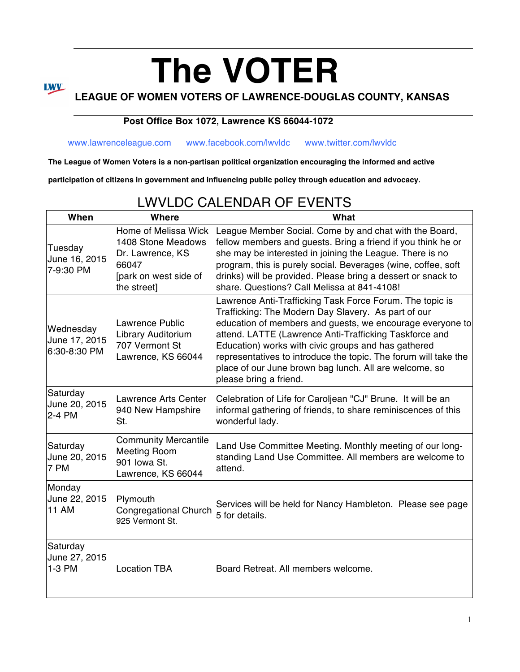# **The VOTER LEAGUE OF WOMEN VOTERS OF LAWRENCE-DOUGLAS COUNTY, KANSAS**

#### **Post Office Box 1072, Lawrence KS 66044-1072**

**LWV** 

www.lawrenceleague.com www.facebook.com/lwvldc www.twitter.com/lwvldc

**The League of Women Voters is a non-partisan political organization encouraging the informed and active** 

**participation of citizens in government and influencing public policy through education and advocacy.**

### LWVLDC CALENDAR OF EVENTS

| When                                       | Where                                                                                                           | What                                                                                                                                                                                                                                                                                                                                                                                                                                                 |
|--------------------------------------------|-----------------------------------------------------------------------------------------------------------------|------------------------------------------------------------------------------------------------------------------------------------------------------------------------------------------------------------------------------------------------------------------------------------------------------------------------------------------------------------------------------------------------------------------------------------------------------|
| Tuesday<br>June 16, 2015<br>7-9:30 PM      | Home of Melissa Wick<br>1408 Stone Meadows<br>Dr. Lawrence, KS<br>66047<br>[park on west side of<br>the street] | League Member Social. Come by and chat with the Board,<br>fellow members and guests. Bring a friend if you think he or<br>she may be interested in joining the League. There is no<br>program, this is purely social. Beverages (wine, coffee, soft<br>drinks) will be provided. Please bring a dessert or snack to<br>share. Questions? Call Melissa at 841-4108!                                                                                   |
| Wednesday<br>June 17, 2015<br>6:30-8:30 PM | <b>Lawrence Public</b><br>Library Auditorium<br>707 Vermont St<br>Lawrence, KS 66044                            | Lawrence Anti-Trafficking Task Force Forum. The topic is<br>Trafficking: The Modern Day Slavery. As part of our<br>education of members and guests, we encourage everyone to<br>attend. LATTE (Lawrence Anti-Trafficking Taskforce and<br>Education) works with civic groups and has gathered<br>representatives to introduce the topic. The forum will take the<br>place of our June brown bag lunch. All are welcome, so<br>please bring a friend. |
| Saturday<br>June 20, 2015<br>2-4 PM        | <b>Lawrence Arts Center</b><br>940 New Hampshire<br>St.                                                         | Celebration of Life for Caroljean "CJ" Brune. It will be an<br>informal gathering of friends, to share reminiscences of this<br>wonderful lady.                                                                                                                                                                                                                                                                                                      |
| Saturday<br>June 20, 2015<br>7 PM          | <b>Community Mercantile</b><br><b>Meeting Room</b><br>901 Iowa St.<br>Lawrence, KS 66044                        | Land Use Committee Meeting. Monthly meeting of our long-<br>standing Land Use Committee. All members are welcome to<br>attend.                                                                                                                                                                                                                                                                                                                       |
| Monday<br>June 22, 2015<br><b>11 AM</b>    | Plymouth<br><b>Congregational Church</b><br>925 Vermont St.                                                     | Services will be held for Nancy Hambleton. Please see page<br>5 for details.                                                                                                                                                                                                                                                                                                                                                                         |
| Saturday<br>June 27, 2015<br>1-3 PM        | <b>Location TBA</b>                                                                                             | Board Retreat. All members welcome.                                                                                                                                                                                                                                                                                                                                                                                                                  |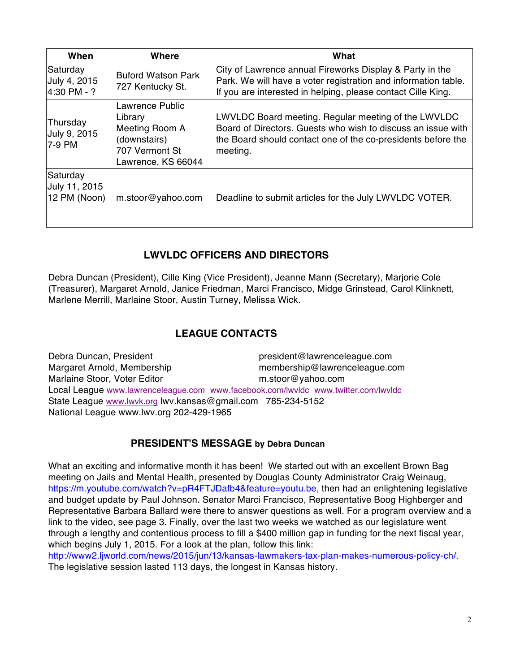| When                                      | Where                                                                                                | What                                                                                                                                                                                            |
|-------------------------------------------|------------------------------------------------------------------------------------------------------|-------------------------------------------------------------------------------------------------------------------------------------------------------------------------------------------------|
| Saturday<br>July 4, 2015<br>4:30 PM - ?   | lBuford Watson Park<br>727 Kentucky St.                                                              | City of Lawrence annual Fireworks Display & Party in the<br>Park. We will have a voter registration and information table.<br>If you are interested in helping, please contact Cille King.      |
| Thursday<br>July 9, 2015<br>7-9 PM        | Lawrence Public<br>Library<br>Meeting Room A<br>(downstairs)<br>707 Vermont St<br>Lawrence, KS 66044 | LWVLDC Board meeting. Regular meeting of the LWVLDC<br>Board of Directors. Guests who wish to discuss an issue with<br>the Board should contact one of the co-presidents before the<br>meeting. |
| Saturday<br>July 11, 2015<br>12 PM (Noon) | m.stoor@yahoo.com                                                                                    | Deadline to submit articles for the July LWVLDC VOTER.                                                                                                                                          |

#### **LWVLDC OFFICERS AND DIRECTORS**

Debra Duncan (President), Cille King (Vice President), Jeanne Mann (Secretary), Marjorie Cole (Treasurer), Margaret Arnold, Janice Friedman, Marci Francisco, Midge Grinstead, Carol Klinknett, Marlene Merrill, Marlaine Stoor, Austin Turney, Melissa Wick.

#### **LEAGUE CONTACTS**

Debra Duncan, President president@lawrenceleague.com Margaret Arnold, Membership membership@lawrenceleague.com Marlaine Stoor, Voter Editor mustoor@yahoo.com Local League www.lawrenceleague.com www.facebook.com/lwvldc www.twitter.com/lwvldc State League www.lwvk.org lwv.kansas@gmail.com 785-234-5152 National League www.lwv.org 202-429-1965

#### **PRESIDENT'S MESSAGE by Debra Duncan**

What an exciting and informative month it has been! We started out with an excellent Brown Bag meeting on Jails and Mental Health, presented by Douglas County Administrator Craig Weinaug, https://m.youtube.com/watch?v=pR4FTJDafb4&feature=youtu.be, then had an enlightening legislative and budget update by Paul Johnson. Senator Marci Francisco, Representative Boog Highberger and Representative Barbara Ballard were there to answer questions as well. For a program overview and a link to the video, see page 3. Finally, over the last two weeks we watched as our legislature went through a lengthy and contentious process to fill a \$400 million gap in funding for the next fiscal year, which begins July 1, 2015. For a look at the plan, follow this link:

http://www2.ljworld.com/news/2015/jun/13/kansas-lawmakers-tax-plan-makes-numerous-policy-ch/. The legislative session lasted 113 days, the longest in Kansas history.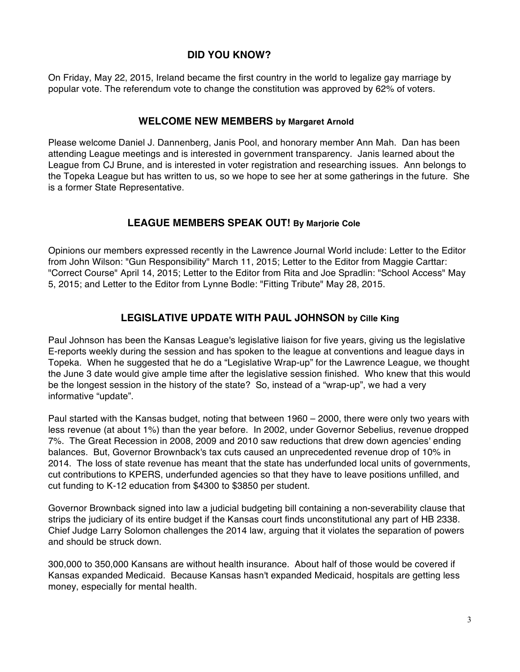#### **DID YOU KNOW?**

On Friday, May 22, 2015, Ireland became the first country in the world to legalize gay marriage by popular vote. The referendum vote to change the constitution was approved by 62% of voters.

#### **WELCOME NEW MEMBERS by Margaret Arnold**

Please welcome Daniel J. Dannenberg, Janis Pool, and honorary member Ann Mah. Dan has been attending League meetings and is interested in government transparency. Janis learned about the League from CJ Brune, and is interested in voter registration and researching issues. Ann belongs to the Topeka League but has written to us, so we hope to see her at some gatherings in the future. She is a former State Representative.

#### **LEAGUE MEMBERS SPEAK OUT! By Marjorie Cole**

Opinions our members expressed recently in the Lawrence Journal World include: Letter to the Editor from John Wilson: "Gun Responsibility" March 11, 2015; Letter to the Editor from Maggie Carttar: "Correct Course" April 14, 2015; Letter to the Editor from Rita and Joe Spradlin: "School Access" May 5, 2015; and Letter to the Editor from Lynne Bodle: "Fitting Tribute" May 28, 2015.

#### **LEGISLATIVE UPDATE WITH PAUL JOHNSON by Cille King**

Paul Johnson has been the Kansas League's legislative liaison for five years, giving us the legislative E-reports weekly during the session and has spoken to the league at conventions and league days in Topeka. When he suggested that he do a "Legislative Wrap-up" for the Lawrence League, we thought the June 3 date would give ample time after the legislative session finished. Who knew that this would be the longest session in the history of the state? So, instead of a "wrap-up", we had a very informative "update".

Paul started with the Kansas budget, noting that between 1960 – 2000, there were only two years with less revenue (at about 1%) than the year before. In 2002, under Governor Sebelius, revenue dropped 7%. The Great Recession in 2008, 2009 and 2010 saw reductions that drew down agencies' ending balances. But, Governor Brownback's tax cuts caused an unprecedented revenue drop of 10% in 2014. The loss of state revenue has meant that the state has underfunded local units of governments, cut contributions to KPERS, underfunded agencies so that they have to leave positions unfilled, and cut funding to K-12 education from \$4300 to \$3850 per student.

Governor Brownback signed into law a judicial budgeting bill containing a non-severability clause that strips the judiciary of its entire budget if the Kansas court finds unconstitutional any part of HB 2338. Chief Judge Larry Solomon challenges the 2014 law, arguing that it violates the separation of powers and should be struck down.

300,000 to 350,000 Kansans are without health insurance. About half of those would be covered if Kansas expanded Medicaid. Because Kansas hasn't expanded Medicaid, hospitals are getting less money, especially for mental health.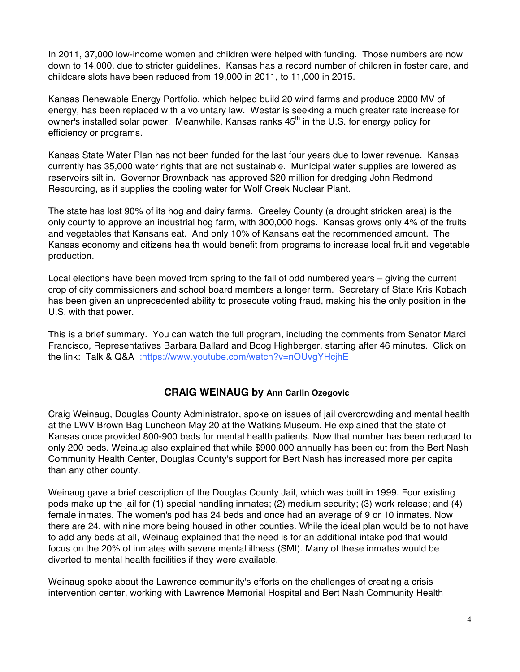In 2011, 37,000 low-income women and children were helped with funding. Those numbers are now down to 14,000, due to stricter guidelines. Kansas has a record number of children in foster care, and childcare slots have been reduced from 19,000 in 2011, to 11,000 in 2015.

Kansas Renewable Energy Portfolio, which helped build 20 wind farms and produce 2000 MV of energy, has been replaced with a voluntary law. Westar is seeking a much greater rate increase for owner's installed solar power. Meanwhile, Kansas ranks 45<sup>th</sup> in the U.S. for energy policy for efficiency or programs.

Kansas State Water Plan has not been funded for the last four years due to lower revenue. Kansas currently has 35,000 water rights that are not sustainable. Municipal water supplies are lowered as reservoirs silt in. Governor Brownback has approved \$20 million for dredging John Redmond Resourcing, as it supplies the cooling water for Wolf Creek Nuclear Plant.

The state has lost 90% of its hog and dairy farms. Greeley County (a drought stricken area) is the only county to approve an industrial hog farm, with 300,000 hogs. Kansas grows only 4% of the fruits and vegetables that Kansans eat. And only 10% of Kansans eat the recommended amount. The Kansas economy and citizens health would benefit from programs to increase local fruit and vegetable production.

Local elections have been moved from spring to the fall of odd numbered years – giving the current crop of city commissioners and school board members a longer term. Secretary of State Kris Kobach has been given an unprecedented ability to prosecute voting fraud, making his the only position in the U.S. with that power.

This is a brief summary. You can watch the full program, including the comments from Senator Marci Francisco, Representatives Barbara Ballard and Boog Highberger, starting after 46 minutes. Click on the link: Talk & Q&A :https://www.youtube.com/watch?v=nOUvgYHcjhE

#### **CRAIG WEINAUG by Ann Carlin Ozegovic**

Craig Weinaug, Douglas County Administrator, spoke on issues of jail overcrowding and mental health at the LWV Brown Bag Luncheon May 20 at the Watkins Museum. He explained that the state of Kansas once provided 800-900 beds for mental health patients. Now that number has been reduced to only 200 beds. Weinaug also explained that while \$900,000 annually has been cut from the Bert Nash Community Health Center, Douglas County's support for Bert Nash has increased more per capita than any other county.

Weinaug gave a brief description of the Douglas County Jail, which was built in 1999. Four existing pods make up the jail for (1) special handling inmates; (2) medium security; (3) work release; and (4) female inmates. The women's pod has 24 beds and once had an average of 9 or 10 inmates. Now there are 24, with nine more being housed in other counties. While the ideal plan would be to not have to add any beds at all, Weinaug explained that the need is for an additional intake pod that would focus on the 20% of inmates with severe mental illness (SMI). Many of these inmates would be diverted to mental health facilities if they were available.

Weinaug spoke about the Lawrence community's efforts on the challenges of creating a crisis intervention center, working with Lawrence Memorial Hospital and Bert Nash Community Health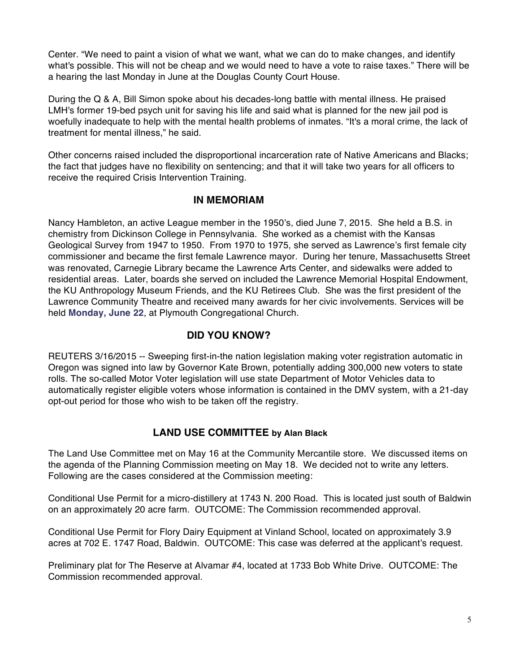Center. "We need to paint a vision of what we want, what we can do to make changes, and identify what's possible. This will not be cheap and we would need to have a vote to raise taxes." There will be a hearing the last Monday in June at the Douglas County Court House.

During the Q & A, Bill Simon spoke about his decades-long battle with mental illness. He praised LMH's former 19-bed psych unit for saving his life and said what is planned for the new jail pod is woefully inadequate to help with the mental health problems of inmates. "It's a moral crime, the lack of treatment for mental illness," he said.

Other concerns raised included the disproportional incarceration rate of Native Americans and Blacks; the fact that judges have no flexibility on sentencing; and that it will take two years for all officers to receive the required Crisis Intervention Training.

#### **IN MEMORIAM**

Nancy Hambleton, an active League member in the 1950's, died June 7, 2015. She held a B.S. in chemistry from Dickinson College in Pennsylvania. She worked as a chemist with the Kansas Geological Survey from 1947 to 1950. From 1970 to 1975, she served as Lawrence's first female city commissioner and became the first female Lawrence mayor. During her tenure, Massachusetts Street was renovated, Carnegie Library became the Lawrence Arts Center, and sidewalks were added to residential areas. Later, boards she served on included the Lawrence Memorial Hospital Endowment, the KU Anthropology Museum Friends, and the KU Retirees Club. She was the first president of the Lawrence Community Theatre and received many awards for her civic involvements. Services will be held **Monday, June 22**, at Plymouth Congregational Church.

#### **DID YOU KNOW?**

REUTERS 3/16/2015 -- Sweeping first-in-the nation legislation making voter registration automatic in Oregon was signed into law by Governor Kate Brown, potentially adding 300,000 new voters to state rolls. The so-called Motor Voter legislation will use state Department of Motor Vehicles data to automatically register eligible voters whose information is contained in the DMV system, with a 21-day opt-out period for those who wish to be taken off the registry.

#### **LAND USE COMMITTEE by Alan Black**

The Land Use Committee met on May 16 at the Community Mercantile store. We discussed items on the agenda of the Planning Commission meeting on May 18. We decided not to write any letters. Following are the cases considered at the Commission meeting:

Conditional Use Permit for a micro-distillery at 1743 N. 200 Road. This is located just south of Baldwin on an approximately 20 acre farm. OUTCOME: The Commission recommended approval.

Conditional Use Permit for Flory Dairy Equipment at Vinland School, located on approximately 3.9 acres at 702 E. 1747 Road, Baldwin. OUTCOME: This case was deferred at the applicant's request.

Preliminary plat for The Reserve at Alvamar #4, located at 1733 Bob White Drive. OUTCOME: The Commission recommended approval.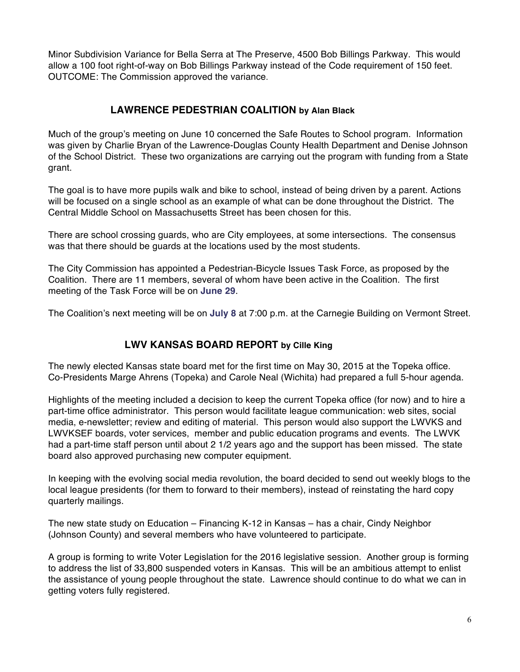Minor Subdivision Variance for Bella Serra at The Preserve, 4500 Bob Billings Parkway. This would allow a 100 foot right-of-way on Bob Billings Parkway instead of the Code requirement of 150 feet. OUTCOME: The Commission approved the variance.

#### **LAWRENCE PEDESTRIAN COALITION by Alan Black**

Much of the group's meeting on June 10 concerned the Safe Routes to School program. Information was given by Charlie Bryan of the Lawrence-Douglas County Health Department and Denise Johnson of the School District. These two organizations are carrying out the program with funding from a State grant.

The goal is to have more pupils walk and bike to school, instead of being driven by a parent. Actions will be focused on a single school as an example of what can be done throughout the District. The Central Middle School on Massachusetts Street has been chosen for this.

There are school crossing guards, who are City employees, at some intersections. The consensus was that there should be guards at the locations used by the most students.

The City Commission has appointed a Pedestrian-Bicycle Issues Task Force, as proposed by the Coalition. There are 11 members, several of whom have been active in the Coalition. The first meeting of the Task Force will be on **June 29**.

The Coalition's next meeting will be on **July 8** at 7:00 p.m. at the Carnegie Building on Vermont Street.

#### **LWV KANSAS BOARD REPORT by Cille King**

The newly elected Kansas state board met for the first time on May 30, 2015 at the Topeka office. Co-Presidents Marge Ahrens (Topeka) and Carole Neal (Wichita) had prepared a full 5-hour agenda.

Highlights of the meeting included a decision to keep the current Topeka office (for now) and to hire a part-time office administrator. This person would facilitate league communication: web sites, social media, e-newsletter; review and editing of material. This person would also support the LWVKS and LWVKSEF boards, voter services, member and public education programs and events. The LWVK had a part-time staff person until about 2 1/2 years ago and the support has been missed. The state board also approved purchasing new computer equipment.

In keeping with the evolving social media revolution, the board decided to send out weekly blogs to the local league presidents (for them to forward to their members), instead of reinstating the hard copy quarterly mailings.

The new state study on Education – Financing K-12 in Kansas – has a chair, Cindy Neighbor (Johnson County) and several members who have volunteered to participate.

A group is forming to write Voter Legislation for the 2016 legislative session. Another group is forming to address the list of 33,800 suspended voters in Kansas. This will be an ambitious attempt to enlist the assistance of young people throughout the state. Lawrence should continue to do what we can in getting voters fully registered.